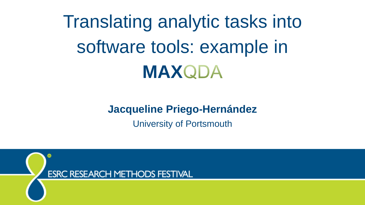Translating analytic tasks into software tools: example in **MAXQDA** 

#### **Jacqueline Priego-Hernández**

University of Portsmouth

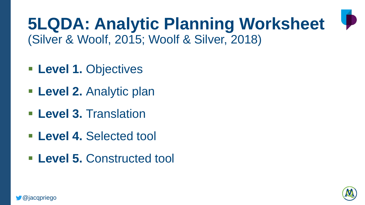## **5LQDA: Analytic Planning Worksheet**  (Silver & Woolf, 2015; Woolf & Silver, 2018)

- **Level 1.** Objectives
- **Level 2.** Analytic plan
- **Level 3.** Translation
- **Level 4.** Selected tool
- **Level 5.** Constructed tool



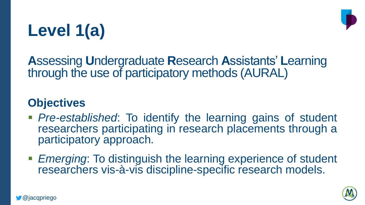



**A**ssessing **U**ndergraduate **R**esearch **A**ssistants' **L**earning through the use of participatory methods (AURAL)

### **Objectives**

- *Pre-established*: To identify the learning gains of student researchers participating in research placements through a participatory approach.
- *Emerging*: To distinguish the learning experience of student researchers vis-à-vis discipline-specific research models.



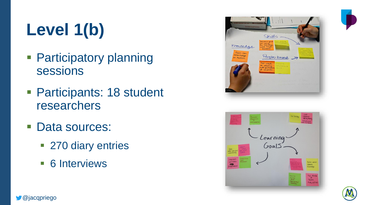

# **Level 1(b)**

- **Participatory planning** sessions
- **Participants: 18 student** researchers
- **Data sources:** 
	- 270 diary entries
	- 6 Interviews







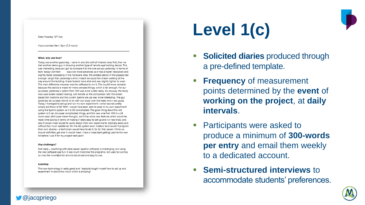

#### Date: Tuesday 12th July

Hours worked: 9am- 5pm (7.5 hours)

#### What, why and how?

Today was another good day, I came in and did a bit of interest areas first, then we had another demo guy in showing another type of remote eye tracking device. This was interesting because I got to compare it to the one we saw yesterday. In terms of tech, today's kit from was a bit more advanced as it had a higher resolution and slightly faster processing in the hardware. Also, the wireless device in the glasses had a longer range than yesterday's which meant we could live stream walking all the way around the building. It also looked more slick and was slightly lighter to wear. The main difference however was the software to run it. This is a bit more complex because this device is made for more complex things, which is fair enough. For our purposes, yesterday's option from SMI was more suited really. But anyway, the study now uses screen based tracking, not remote so the comparison with the screen based SMI machine and the current Eyelink we use was more interesting. The guy yesterday let us keep the kit to try with our study over the week which was good. Today I managed to set up and run my own experiment - which sounds pretty simple but there is NO WAY I would have been able to code in my own experiment using the Eyelink system as it is SO complicated. The good thing about the old system is it can do super complicated things, and this new one from SMI is a bit more basic (still super clever though), but it has some new features which would be really time saving in terms of making it really easy to set up and run new trials, and also it would mean students could design their own experiments relatively easily and without too much assistance. On the old system even masters level couldn't program their own studies - a technician would have to do it. So for that reason I think we should definitely get one! It would mean I have a head start getting used to the new kit before I use it for my project next year!!

#### Any challenges?

Not really - practicing with data viewer (eyelink software) is challenging, but using the new software was fun. It was much more like the programs I am used to running on mac like imovie which aims to be simple and easy to use.

#### Learning:

@jacqpriego

This new technology is really good and I basically taught myself how to set up and experiment in about two hours which is amazing!

# **Level 1(c)**

- **Solicited diaries** produced through a pre -defined template .
- **Frequency** of measurement points determined by the **event** of **working on the project**, at **daily intervals** .
- Participants were asked to produce a minimum of **300 -words per entry** and email them weekly to a dedicated account.
- **Fig. 3 Semi-structured interviews to** accommodate students' preferences.

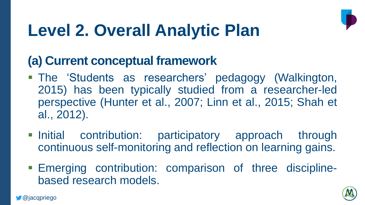

## **Level 2. Overall Analytic Plan**

## **(a) Current conceptual framework**

- The 'Students as researchers' pedagogy (Walkington, 2015) has been typically studied from a researcher-led perspective (Hunter et al., 2007; Linn et al., 2015; Shah et al., 2012).
- Initial contribution: participatory approach through continuous self-monitoring and reflection on learning gains.
- Emerging contribution: comparison of three disciplinebased research models.

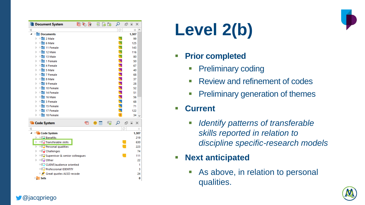

| <b>Document System</b>                                         | 咱响局 | $\rightarrow$ | <b>Po</b> Co | م    | c   | $\overline{\phantom{a}}$ | $\times$           |
|----------------------------------------------------------------|-----|---------------|--------------|------|-----|--------------------------|--------------------|
| 빕                                                              |     |               |              | D    |     | #                        | $\lambda$          |
| ◢<br>۰<br><b>Documents</b>                                     |     |               |              |      |     | 1,307                    |                    |
| 2 Male<br>D                                                    |     |               |              |      |     | 99                       |                    |
| 6 Male<br>D                                                    |     |               |              |      |     | 125                      |                    |
| 11 Female<br>Þ<br>۰                                            |     |               |              |      |     | 143                      |                    |
| ۰۱<br>12 Male<br>D                                             |     |               |              |      |     | 116                      |                    |
| $\bullet$<br>13 Male<br>D                                      |     |               |              | N    |     | 80                       |                    |
| D<br>۰<br>1 Female                                             |     |               |              | È    |     | 50                       |                    |
| ۰<br>4 Female<br>D                                             |     |               |              |      |     | 67                       |                    |
| 5 Male<br>D<br>۰                                               |     |               |              |      |     | 40                       |                    |
| D<br>7 Female                                                  |     |               |              |      |     | 68                       |                    |
| 8 Male<br>D<br>۰                                               |     |               |              |      |     | 37                       |                    |
| 9 Female<br>Þ<br>۰                                             |     |               |              |      |     | 28                       |                    |
| 10 Female<br>Þ<br>۰                                            |     |               |              | 7777 |     | 52                       |                    |
| 14 Female<br>D<br>0                                            |     |               |              |      |     | 51                       |                    |
| 16 Male<br>▷<br>- 1                                            |     |               |              |      |     | 56                       |                    |
| 3 Female<br>Þ<br>$\overline{\phantom{a}}$                      |     |               |              |      |     | 68                       |                    |
| <sup>1</sup> 15 Female<br>D                                    |     |               |              |      |     | 71                       |                    |
| 17 Female<br>D<br>$\bullet$                                    |     |               |              |      |     | 122                      |                    |
| 18 Female<br>$\bullet$<br>D                                    |     |               |              |      |     |                          | $34\sim$           |
| <b>G</b> Code System                                           | 6   | $\mathbf{C}$  | ్త           | α    | 6 □ |                          | $\times$           |
| 법                                                              |     |               |              |      | D   |                          | ģ.                 |
| 4<br><b>C</b> Code System<br>$\triangleright$ $\circ$ Benefits |     |               |              |      |     |                          | 1,307              |
|                                                                |     |               |              |      |     |                          | 219<br>630         |
|                                                                |     |               |              |      |     |                          |                    |
| Þ<br><b>Co</b> Transferable skills                             |     |               |              |      |     |                          |                    |
| <b>Co</b> Personal qualities<br>D                              |     |               |              |      |     |                          |                    |
| <b>Co</b> Challenges<br>D                                      |     |               |              |      |     |                          |                    |
| D<br>Supervisor & senior colleagues                            |     |               |              |      |     |                          | 223<br>74<br>111   |
| © Other<br>▷                                                   |     |               |              |      |     |                          |                    |
| CLIENT/audience oriented                                       |     |               |              |      |     |                          |                    |
| <b>CO</b> Professional IDENTITY<br>Great quotes ALSO recode    |     |               |              |      |     |                          | 22<br>1<br>3<br>24 |

@jacqpriego

# **Level 2(b)**

#### **Prior completed**

- Preliminary coding
- Review and refinement of codes
- **Preliminary generation of themes**

#### **Current**

- *Identify patterns of transferable skills reported in relation to discipline specific-research models*
- **Next anticipated**
	- As above, in relation to personal qualities.

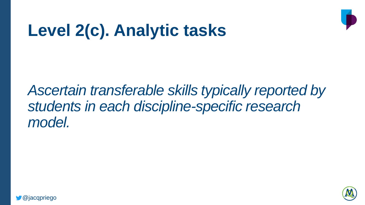

## **Level 2(c). Analytic tasks**

## *Ascertain transferable skills typically reported by students in each discipline-specific research model.*



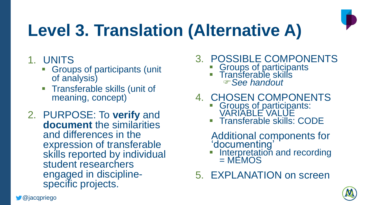

# **Level 3. Translation (Alternative A)**

- 1. UNITS
	- **Groups of participants (unit** of analysis)
	- Transferable skills (unit of meaning, concept)
- 2. PURPOSE: To **verify** and **document** the similarities and differences in the expression of transferable skills reported by individual student researchers engaged in disciplinespecific projects.

### 3. POSSIBLE COMPONENTS

- **Groups of participants**
- **Transferable skills** *See handout*
- 4. CHOSEN COMPONENTS
	- **Groups of participants:** <u>V</u>ARIABLE VALUE
	- Transferable skills: CODE

Additional components for 'documenting'

- **Interpretation and recording**  $=$  MEMOS
- 5. EXPLANATION on screen



@jacqpriego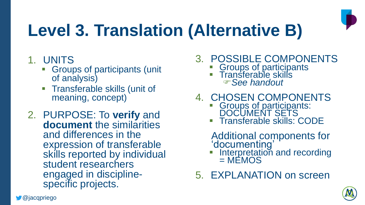

# **Level 3. Translation (Alternative B)**

1. UNITS

@jacqpriego

- **Groups of participants (unit** of analysis)
- Transferable skills (unit of meaning, concept)
- 2. PURPOSE: To **verify** and **document** the similarities and differences in the expression of transferable skills reported by individual student researchers engaged in disciplinespecific projects.

### 3. POSSIBLE COMPONENTS

- **Groups of participants**
- **Transferable skills** *See handout*
- 4. CHOSEN COMPONENTS
	- **Groups of participants:** DOCUMENT SETS
	- **Transferable skills: CODE**

Additional components for 'documenting'

- **Interpretation and recording**  $=$  MEMOS
- 5. EXPLANATION on screen

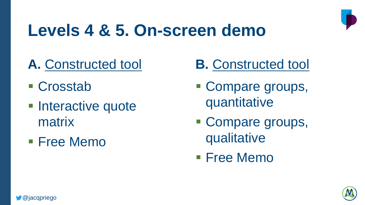

## **Levels 4 & 5. On-screen demo**

## **A.** Constructed tool

- Crosstab
- **Interactive quote** matrix
- **Free Memo**

## **B.** Constructed tool

- Compare groups, quantitative
- Compare groups, qualitative
- **Free Memo**



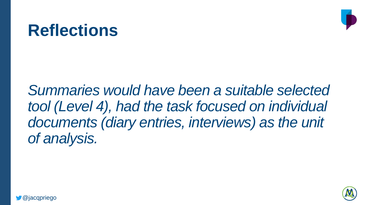## **Reflections**



*Summaries would have been a suitable selected tool (Level 4), had the task focused on individual documents (diary entries, interviews) as the unit of analysis.* 



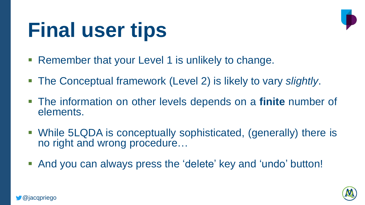# **Final user tips**



- The Conceptual framework (Level 2) is likely to vary *slightly*.
- The information on other levels depends on a **finite** number of elements.
- While 5LQDA is conceptually sophisticated, (generally) there is no right and wrong procedure…
- And you can always press the 'delete' key and 'undo' button!



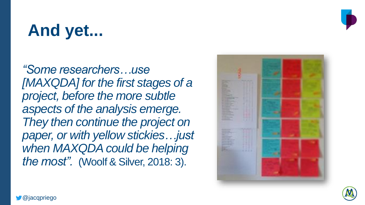

# **And yet...**

*"Some researchers…use [MAXQDA] for the first stages of a project, before the more subtle aspects of the analysis emerge. They then continue the project on paper, or with yellow stickies…just when MAXQDA could be helping the most".* (Woolf & Silver, 2018: 3).





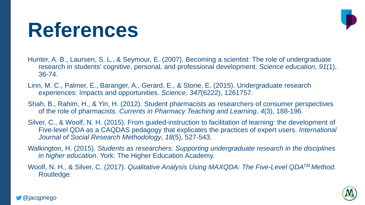

# **References**

- Hunter, A. B., Laursen, S. L., & Seymour, E. (2007). Becoming a scientist: The role of undergraduate research in students' cognitive, personal, and professional development. *Science education*, *91*(1), 36-74.
- Linn, M. C., Palmer, E., Baranger, A., Gerard, E., & Stone, E. (2015). Undergraduate research experiences: Impacts and opportunities. *Science*, *347*(6222), 1261757.
- Shah, B., Rahim, H., & Yin, H. (2012). Student pharmacists as researchers of consumer perspectives of the role of pharmacists. *Currents in Pharmacy Teaching and Learning*, *4*(3), 188-196.
- Silver, C., & Woolf, N. H. (2015). From guided-instruction to facilitation of learning: the development of Five-level QDA as a CAQDAS pedagogy that explicates the practices of expert users. *International Journal of Social Research Methodology*, *18*(5), 527-543.
- Walkington, H. (2015). *Students as researchers: Supporting undergraduate research in the disciplines in higher education*. York: The Higher Education Academy.
- Woolf, N. H., & Silver, C. (2017). *Qualitative Analysis Using MAXQDA: The Five-Level QDATM Method*. Routledge.